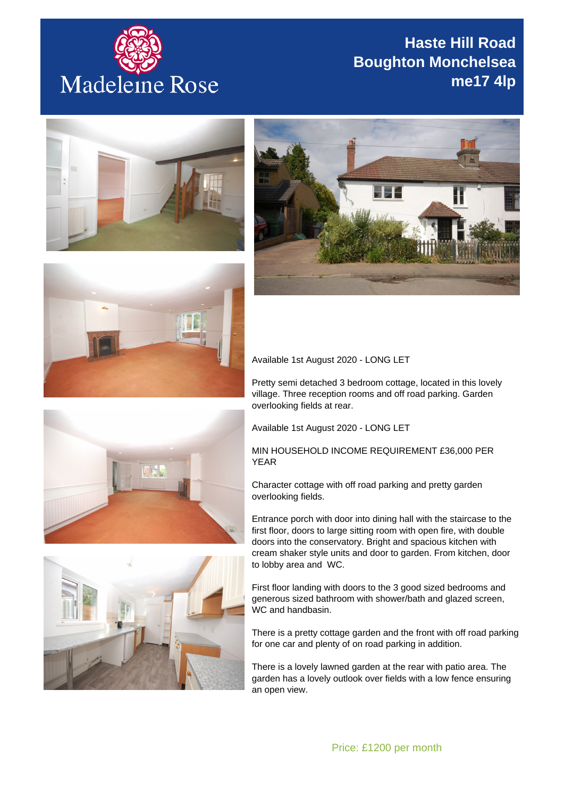

## **Haste Hill Road Boughton Monchelsea me17 4lp**







Available 1st August 2020 - LONG LET

Pretty semi detached 3 bedroom cottage, located in this lovely village. Three reception rooms and off road parking. Garden overlooking fields at rear.

Available 1st August 2020 - LONG LET

## MIN HOUSEHOLD INCOME REQUIREMENT £36,000 PER YEAR

Character cottage with off road parking and pretty garden overlooking fields.

Entrance porch with door into dining hall with the staircase to the first floor, doors to large sitting room with open fire, with double doors into the conservatory. Bright and spacious kitchen with cream shaker style units and door to garden. From kitchen, door to lobby area and WC.

First floor landing with doors to the 3 good sized bedrooms and generous sized bathroom with shower/bath and glazed screen, WC and handbasin.

There is a pretty cottage garden and the front with off road parking for one car and plenty of on road parking in addition.

There is a lovely lawned garden at the rear with patio area. The garden has a lovely outlook over fields with a low fence ensuring an open view.



ER.